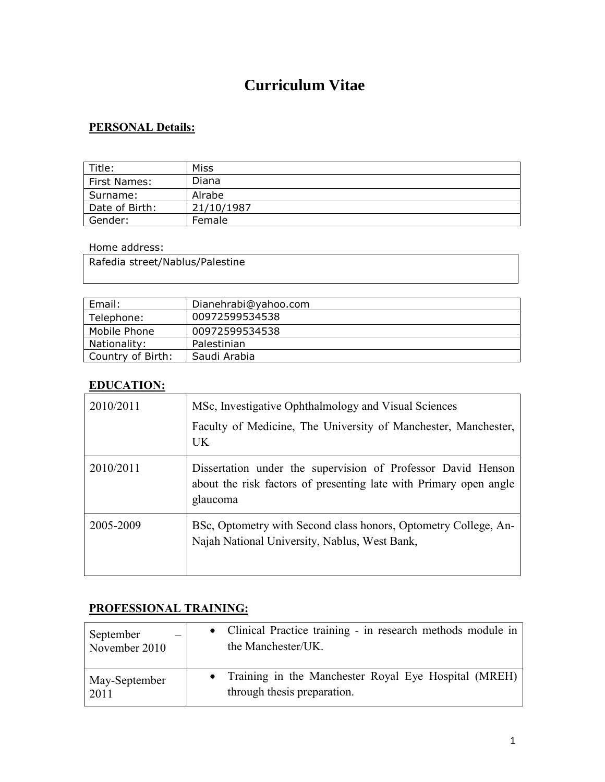# **Curriculum Vitae**

# **PERSONAL Details:**

| Title:         | Miss       |
|----------------|------------|
| First Names:   | Diana      |
| Surname:       | Alrabe     |
| Date of Birth: | 21/10/1987 |
| Gender:        | Female     |

#### Home address:

Rafedia street/Nablus/Palestine

| Email:            | Dianehrabi@yahoo.com |
|-------------------|----------------------|
| Telephone:        | 00972599534538       |
| Mobile Phone      | 00972599534538       |
| Nationality:      | Palestinian          |
| Country of Birth: | Saudi Arabia         |

### **EDUCATION:**

| 2010/2011 | MSc, Investigative Ophthalmology and Visual Sciences<br>Faculty of Medicine, The University of Manchester, Manchester,<br><b>UK</b>           |
|-----------|-----------------------------------------------------------------------------------------------------------------------------------------------|
| 2010/2011 | Dissertation under the supervision of Professor David Henson<br>about the risk factors of presenting late with Primary open angle<br>glaucoma |
| 2005-2009 | BSc, Optometry with Second class honors, Optometry College, An-<br>Najah National University, Nablus, West Bank,                              |

#### **PROFESSIONAL TRAINING:**

| September     | • Clinical Practice training - in research methods module in |
|---------------|--------------------------------------------------------------|
| November 2010 | the Manchester/UK.                                           |
| May-September | • Training in the Manchester Royal Eye Hospital (MREH)       |
| 2011          | through thesis preparation.                                  |